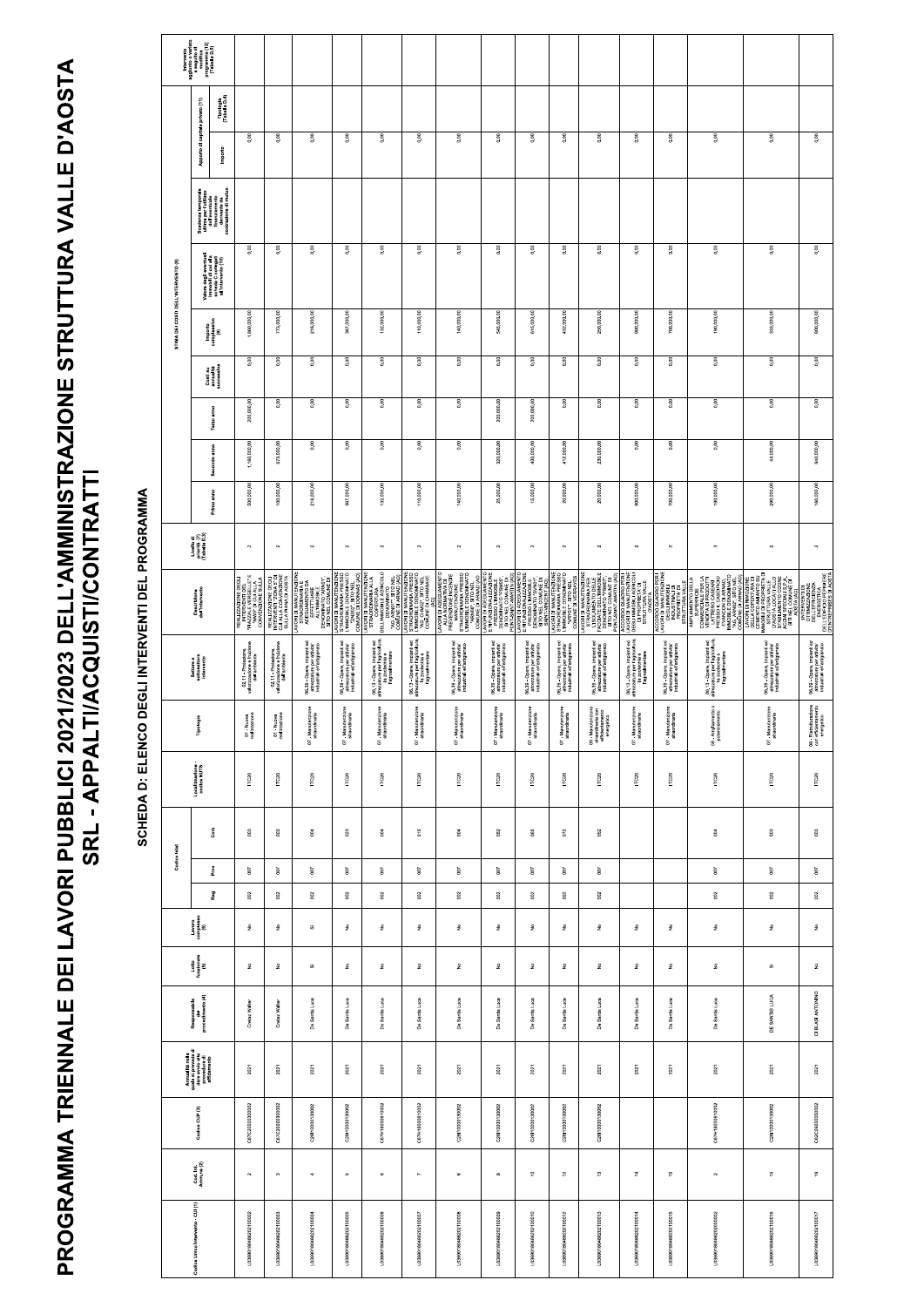DEI LAVORI PUBBLICI 2021/2023 DELL'AMMINISTRAZIONE STRUTTURA VALLE D'AOSTA SRL - APPALTI/ACQUISTI/CONTRATTI

Intervento<br>aggiunto o variato<br>a seguito di<br>modifica<br>programma (12)<br>(Tabella D.5) Tipologia<br>(Tabella D.4) Apporto di capitale privato (11)  $0.00$  $0.00$  $0.00$  $0.00$  $0.00$  $0.00$  $0.00$  $0.00$  $0.00$  $0.00$  $0.00$  $0.00$  $0.00$  $0.00$  $_{0.00}$  $0.00$ Importo Scadenza temporale<br>ultima per l'utilizzo<br>tina per l'utilizzo<br>finanziamenda<br>derivante da<br>contrazione di mutuo  $0.00$  $0.00$ 0.00  $0.00$ 0.00  $0.00$  $0.00$  $0.00$  $0.00$  $0.00$  $0.00$  $0.00$  $0.00$  $0.00$  $0.00$  $0.00$ Valore degli eventuali<br>immobili di cui alla<br>scheda C collegati<br>all'intervento (10) STIMA DEI COSTI DELL'INTERVENTO (8) 773,000.00 218,000.00 367,000.00 132,000.00 110,000.00 615,000.00 250,000.0C 900,000.00 700,000.00 190,000.00 333,000.00 800,000.00 545,000.0 432,000.00 140,000.0 Importo<br>complessivo<br>(9) 1,860,000  $0.00$  $0.00$  $0.00$  $0.00$  $0.00$ 0.00  $0.00$  $0.00$  $0.00$  $0.00$  $0.00$ 0.00 0.00  $_{0.00}$  $0.00$  $0.00$ Costi su<br>annualità<br>successiva  $0.00$  $0.00$  $0.00$  $0.00$  $0.00$  $0.00$  $\overline{\phantom{0}}$  $0.00$  $0.00$  $0.00$  $0.00$  $0.00$  $0.00$ 200,000.0 200,000.0 Terzo anno 200,000  $\overline{0.00}$  $\overline{0.00}$  $\overline{\phantom{0}}$ 640,000.00 673,000.00  $\overline{0.00}$  $\overline{0.00}$  $0.00$ 230,000.00  $0.00$  $\overline{\circ}$ 43,000.00 320,000.00 400,000.00 412,000.00 Secondo anno 1,160,000 160,000.0 218,000.0 367,000.0 290,000.0 Primo anno 100,000. 132,000. 110,000. 25,000. 15,000. 20,000 20,000. 900,000. 700,000. 190,000. 140,000 500,000 Livello di<br>priorità (7)<br>(Tabella D.3)  $\sim$  $\sim$  $\bar{\mathbf{N}}$  $\scriptstyle\sim$  $\sim$  $\bar{\mathbf{v}}$  $\sim$  $\sim$  $\scriptstyle\sim$  $\scriptstyle\sim$  $\sim$  $\bar{\mathbf{N}}$  $\scriptstyle\sim$  $\sim$  $\ddot{\phantom{0}}$  $\sim$ NTERVENTI DI<br>OTTIMIZZAZIONE<br>DELL'EFFICIENZA<br>ENERGETICA<br>DELL'EDIFICIO PEPINIERE<br>NELL'EDIFICIO PEPINIERE SITO NEL COMUNE DI<br>LAVORI DI MANUTENZIONE<br>STRAORDINARIA PRESSO<br>L'IMPORIZE, SITO NINATO<br>LOMUNE DI DONNAS (AO) LA LA LA MARANTA<br>PREVENZIONE INCENDIE<br>STRANUTENZIONE<br>STRANUTENZIONE<br>STRAOBLIE DENA PRESSO<br>L'INTAOBLIE DENA PRESSO<br>L'ARNOS", SITO NEL **COMANDONE SINTA**<br>COMANDONE CHELE... E<br>LINSCONE ABORETIE... E<br>LINSCONE DISCONE DEGIT<br>LIDEO DINOIZATIVENE LAWORD MANUFRIZONE<br>LAWORD ELECTRONIC COMPANY<br>COMUNE DI VERRANTES<br>COMUNE DI VERRANTES<br>COMUNE DI VERRANTES<br>LAWORD PRODUCTION<br>LARD REND MANUFRIZONE<br>FACCORDENT DI DI VERRANTES<br>FACCORDENT DI DI VERRANTES<br>SETO NELLA COMPANY ACCORDO QUADRO PER I<br>LAVORI DI MANUTENZIONE<br>DEGLI IMPOPRIE AGRICOLI<br>DEGLI IMPOPRIE AGRICOLI<br>STRUTTURA VALLE REALIZZAZIONE DEGLI<br>INTERVENTI "ZONA 5" DI<br>CUI I ADINA 100 ANOSTA<br>SUILA PIANA DI AOSTA AMORI DIMANUTENZIONE LAVORI DI MANUI ENZIONE<br>STRAORDINARIA PRESSO<br>L'IMMOBILE DENOMINATO<br>"AG\_CHMOZ", SITO NEL<br>"AG\_CMUNE DI CHAMBAVE<br>COMUNE DI CHAMBAVE COMUNE DI ARNAD (AO<br>E RIFUNZIONALIZZAZIONE<br>E RIFUNZIONALIZZAZIONE<br>DENOMINATO "PSM05",<br>SITO NEL COMUNE DI<br>SITO NEL COMUNE DI E RIFUNZIONALIZZAZION<br>PRESSO L'IMMOBILE<br>DENOMINATO "SVNOI",<br>SITO NEL COMUNE DI<br>SAINT-VINCENT (AO) AVORI DI IMPIRE<br>STRAORDINARIA E<br>ADEGUAMENTO DA<br>EFFETTUARE<br>EFFETTUARE<br>DENOMINATO "ARNIC<br>DENOMINATO "ARNIC Descrizione<br>dell'intervento 06.13 - Opere, impianti ed<br>attrezzature per l'agricoltura,<br>attrezzature per l'agroalimentare 06.13 - Opere, impianti ed<br>attrezzature per l'agricoltura,<br>la zootecnia e<br>l'agroalimentare 06.13 - Opere, impianti ed<br>attrezzature per l'agricoltura,<br>la zootecnia e<br>l'agroalimentare 06.13 - Opere, impianti ed<br>attrezzature per l'agricoltura,<br>la zootecnia e<br>l'agroalimentare 06.39 - Opere, impianti ed<br>attrezzature per attivita'<br>industriali e l'artigianato 06.39 - Opere, impianti ed<br>attrezzature per attivita'<br>industriali e l'artigianato 06.39 - Opere, impianti ed<br>attrezzature per attivita'<br>industriali e l'artigianato 06.39 - Opere, impianti ed<br>attrezzature per attivita<br>industriali e l'artigianato 02.11 - Protezione,<br>valorizzazione e fruizione<br>dell'ambiente 06.39 - Opere, impianti ed<br>attrezzature per attivita'<br>industriali e l'artigianato 02.11 - Protezione,<br>valorizzazione e fruizione<br>dell'ambiente 06.39 - Opere, impianti ed<br>attrezzature per attivita'<br>industriali e l'artigianato 06.39 - Opere, impianti ed<br>attrezzature per attivita'<br>industriali e l'artigianato 06.39 - Opere, impianti ed<br>attrezzature per attivita'<br>industriali e l'artigianato 06.39 - Opere, impianti ed<br>attrezzature per attivita'<br>industriali e l'artigianato 06.39 - Opere, impianti ed<br>attrezzature per attivita'<br>industriali e l'artigianato Settore e<br>sottosettore<br>intervento 08 - Ristrutturazione<br>con efficientamento<br>energetico 58 - Ampliamento o<br>potenziamento ' - Manutenzione<br>straordinaria Manutenzione<br>straordinaria 07 - Manutenzione<br>straordinaria - Manutenzione<br>straordinaria - Manutenzione<br>straordinaria - Manutenzione<br>straordinaria 07 - Manutenzione<br>straordinaria 09 - Manutenzione<br>straordinaria con<br>efficientamento<br>energetico - Manutenzione<br>straordinaria 07 - Manutenzione<br>straordinaria - Manutenzione<br>straordinaria - Manutenzion<br>straordinaria 01 Nuova<br>realizzazione 01 - Nuova<br>realizzazione Tipologia  $\ddot{a}$ Ġ.  $\dot{5}$  $\overline{6}$  $\overline{5}$  $\overline{a}$  $\overline{a}$  $\overline{5}$ Localizzazione -<br>codice NUTS ITC20 ITC20 ITC20 ITC20 ITC20 ITC20 ITC20  $TC20$  $TC20$ ITC20 ITC20 ITC20 ITC20 ITC20 ITC20 ITC20  $_{\rm Gem}$  $_{003}^{\circ}$  $^{\rm 003}$  $^{\rm 03}$  $\frac{3}{6}$  $023$  $_{004}$  $015$  $_{004}$ 052 065 072 052  $_{\rm g}^{\rm 4}$  $_{003}^{\circ}$ Codice Istat Prov 700  $\overline{5}$  $\rm 50$  $100\,$  $\sqrt{00}$  $500\,$ 007  $500\,$  $\overline{\mathcal{O}}$  $\sqrt{200}$  $\sim$  $_{007}$ 007  $_{\rm 50}$ 002 Reg  $002$ 002  $_{002}^{\circ}$  $002$  $002$ 002  $002$ 002  $002$  $_{002}$  $002$  $\mathbb{S}^2$ 002 Lavoro<br>complesso<br>(6)  $\hat{\mathsf{z}}$  $\frac{9}{2}$  $\hat{\mathsf{z}}$  $\frac{9}{2}$  $\overline{\omega}$  $\hat{\mathbf{z}}$  $\hat{\mathsf{z}}$  $\frac{\circ}{2}$  $\hat{z}$  $\hat{\mathsf{z}}$  $\frac{\circ}{2}$  $\hat{\mathsf{z}}$  $\hat{\mathsf{z}}$  $\hat{\mathsf{z}}$  $\hat{\mathsf{z}}$  $\hat{\mathsf{z}}$ Lotto<br>funzionale<br>(5)  $\hat{\mathsf{z}}$  $\hat{\mathsf{z}}$  $\hat{\mathsf{z}}$  $\frac{\circ}{2}$  $\overline{\omega}$  $\stackrel{\mathtt{o}}{z}$  $\frac{9}{2}$  $\hat{\mathsf{z}}$  $\hat{\mathsf{z}}$  $\hat{\mathsf{z}}$  $\frac{\circ}{2}$  $\hat{\mathsf{z}}$  $\hat{\mathsf{z}}$  $\hat{\mathsf{z}}$  $\frac{\circ}{2}$  $\overline{\omega}$ 

## SCHEDA D: ELENCO DEGLI INTERVENTI DEL PROGRAMMA

## **PROGRAMMA TRIENNALE**

| Responsabile<br>del<br>procedimento (4)                                                  | Cretaz Walter         | Cretaz Walter         | Luca<br>De Santis     | Luca<br>Santis<br>്   | De Santis Luca        | Luca<br>Santis<br>å   | De Santis Luca        | Luca<br>De Santis     | Luca<br>De Santis     | Luca<br>Santis<br>å   | De Santis Luca        | Luca<br>Santis<br>å   | Luca<br>De Santis     | De Santis Luca        | DE SANTIS LUCA        | DI BLASI ANTONINO         |
|------------------------------------------------------------------------------------------|-----------------------|-----------------------|-----------------------|-----------------------|-----------------------|-----------------------|-----------------------|-----------------------|-----------------------|-----------------------|-----------------------|-----------------------|-----------------------|-----------------------|-----------------------|---------------------------|
| Annualità nella<br>quale si prevede di<br>dare avvio alla<br>procedura di<br>affidamento | 2021                  | 2021                  | 2021                  | 2021                  | 2021                  | 2021                  | 2021                  | 2021                  | 2021                  | 2021                  | 2021                  | 2021                  | 2021                  | 2021                  | 2021                  | 2021                      |
| Codice CUP (3)                                                                           | C67C2000300002        | C67C2000300002        | C28110000130002       | C28110000130002       | C67H16000610002       | C67H16000610002       | C28110000130002       | C28110000130002       | C28110000130002       | C28110000130002       | C28110000130002       |                       |                       | C67H16000610002       | C28110000130002       | C62C09000050002           |
| Cod. Int.<br>Amm.ne (2)                                                                  | $\sim$                | $\infty$              | $\blacktriangleleft$  | s.                    | $\circ$               | $\sim$                | $\infty$              | $\circ$               | $\epsilon$            | $\tilde{a}$           | $\frac{1}{2}$         | $\ddot{a}$            | $\frac{16}{16}$       | $\sim$                | $\frac{15}{2}$        | $\stackrel{\circ}{\cdot}$ |
| Codice Unico Intervento - CUI (1)                                                        | L03690180488202100002 | L03690180488202100003 | L03690180488202100004 | L03690180488202100005 | L03690180488202100006 | L03690180488202100007 | L03690180488202100008 | L03690180488202100009 | L03690180488202100010 | L03690180488202100012 | L03690180488202100013 | L03690180488202100014 | L03690180488202100015 | L03690180488202000002 | L03690180488202100016 | L03690180488202100017     |